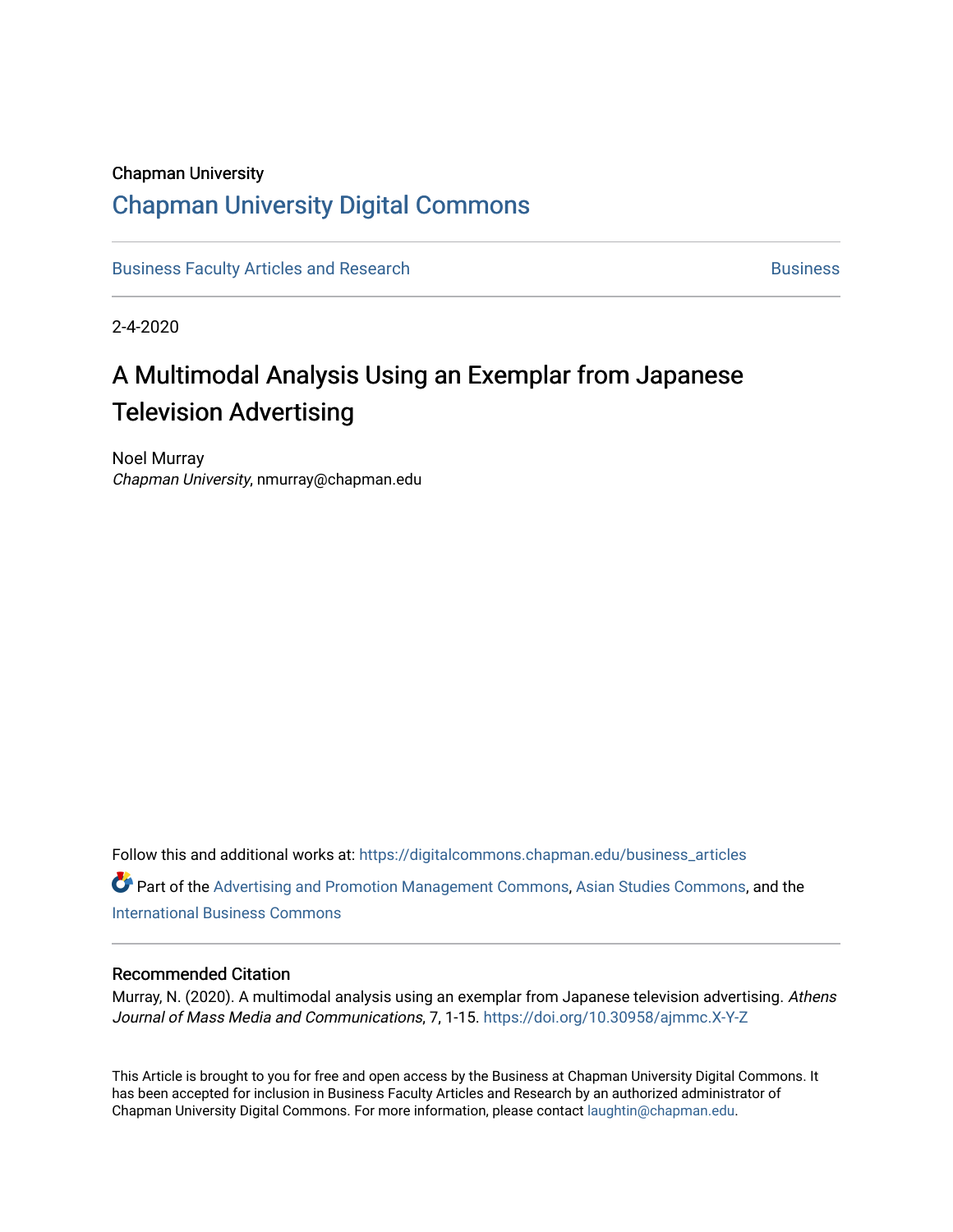# Chapman University

# [Chapman University Digital Commons](https://digitalcommons.chapman.edu/)

[Business Faculty Articles and Research](https://digitalcommons.chapman.edu/business_articles) [Business](https://digitalcommons.chapman.edu/business) **Business** Business

2-4-2020

# A Multimodal Analysis Using an Exemplar from Japanese Television Advertising

Noel Murray Chapman University, nmurray@chapman.edu

Follow this and additional works at: [https://digitalcommons.chapman.edu/business\\_articles](https://digitalcommons.chapman.edu/business_articles?utm_source=digitalcommons.chapman.edu%2Fbusiness_articles%2F99&utm_medium=PDF&utm_campaign=PDFCoverPages)  Part of the [Advertising and Promotion Management Commons,](http://network.bepress.com/hgg/discipline/626?utm_source=digitalcommons.chapman.edu%2Fbusiness_articles%2F99&utm_medium=PDF&utm_campaign=PDFCoverPages) [Asian Studies Commons](http://network.bepress.com/hgg/discipline/361?utm_source=digitalcommons.chapman.edu%2Fbusiness_articles%2F99&utm_medium=PDF&utm_campaign=PDFCoverPages), and the [International Business Commons](http://network.bepress.com/hgg/discipline/634?utm_source=digitalcommons.chapman.edu%2Fbusiness_articles%2F99&utm_medium=PDF&utm_campaign=PDFCoverPages)

# Recommended Citation

Murray, N. (2020). A multimodal analysis using an exemplar from Japanese television advertising. Athens Journal of Mass Media and Communications, 7, 1-15. <https://doi.org/10.30958/ajmmc.X-Y-Z>

This Article is brought to you for free and open access by the Business at Chapman University Digital Commons. It has been accepted for inclusion in Business Faculty Articles and Research by an authorized administrator of Chapman University Digital Commons. For more information, please contact [laughtin@chapman.edu](mailto:laughtin@chapman.edu).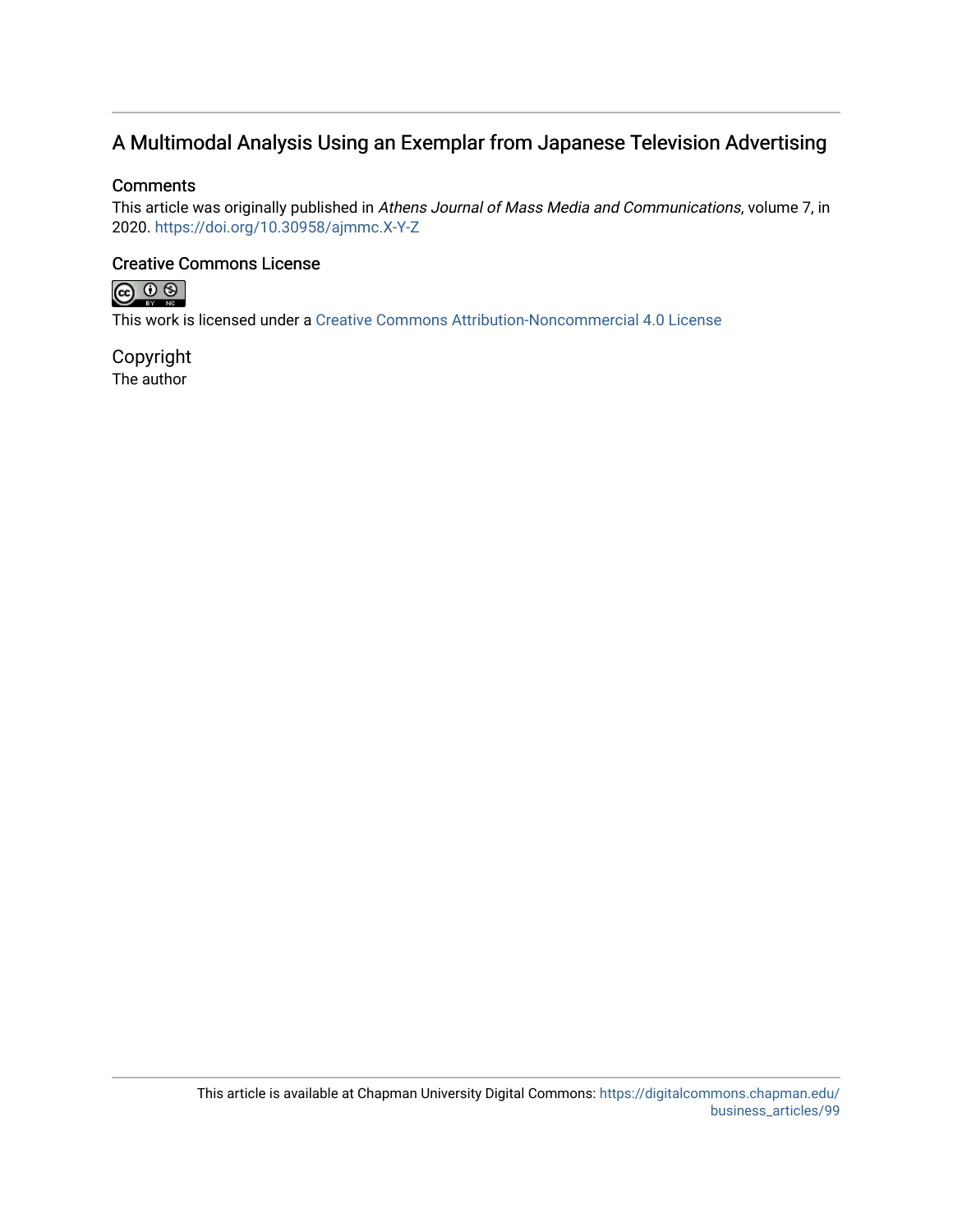# A Multimodal Analysis Using an Exemplar from Japanese Television Advertising

# **Comments**

This article was originally published in Athens Journal of Mass Media and Communications, volume 7, in 2020. <https://doi.org/10.30958/ajmmc.X-Y-Z>

# Creative Commons License



This work is licensed under a [Creative Commons Attribution-Noncommercial 4.0 License](https://creativecommons.org/licenses/by-nc/4.0/) 

Copyright The author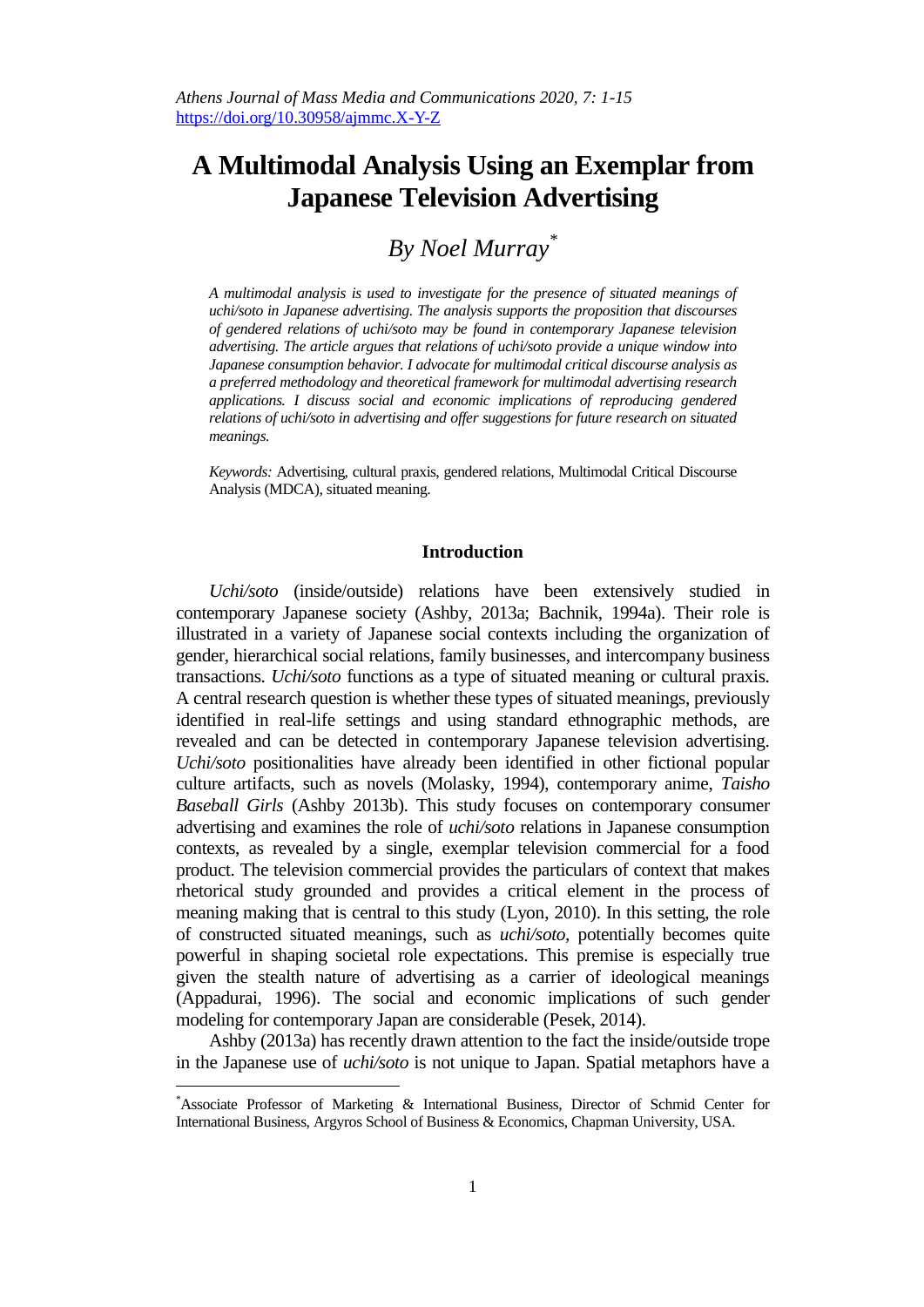# **A Multimodal Analysis Using an Exemplar from Japanese Television Advertising**

# *By Noel Murray\**

*A multimodal analysis is used to investigate for the presence of situated meanings of uchi/soto in Japanese advertising. The analysis supports the proposition that discourses of gendered relations of uchi/soto may be found in contemporary Japanese television advertising. The article argues that relations of uchi/soto provide a unique window into Japanese consumption behavior. I advocate for multimodal critical discourse analysis as a preferred methodology and theoretical framework for multimodal advertising research applications. I discuss social and economic implications of reproducing gendered relations of uchi/soto in advertising and offer suggestions for future research on situated meanings.* 

*Keywords:* Advertising, cultural praxis, gendered relations, Multimodal Critical Discourse Analysis (MDCA), situated meaning.

## **Introduction**

*Uchi/soto* (inside/outside) relations have been extensively studied in contemporary Japanese society (Ashby, 2013a; Bachnik, 1994a). Their role is illustrated in a variety of Japanese social contexts including the organization of gender, hierarchical social relations, family businesses, and intercompany business transactions. *Uchi/soto* functions as a type of situated meaning or cultural praxis. A central research question is whether these types of situated meanings, previously identified in real-life settings and using standard ethnographic methods, are revealed and can be detected in contemporary Japanese television advertising. *Uchi/soto* positionalities have already been identified in other fictional popular culture artifacts, such as novels (Molasky, 1994), contemporary anime, *Taisho Baseball Girls* (Ashby 2013b). This study focuses on contemporary consumer advertising and examines the role of *uchi/soto* relations in Japanese consumption contexts, as revealed by a single, exemplar television commercial for a food product. The television commercial provides the particulars of context that makes rhetorical study grounded and provides a critical element in the process of meaning making that is central to this study (Lyon, 2010). In this setting, the role of constructed situated meanings, such as *uchi/soto*, potentially becomes quite powerful in shaping societal role expectations. This premise is especially true given the stealth nature of advertising as a carrier of ideological meanings (Appadurai, 1996). The social and economic implications of such gender modeling for contemporary Japan are considerable (Pesek, 2014).

Ashby (2013a) has recently drawn attention to the fact the inside/outside trope in the Japanese use of *uchi/soto* is not unique to Japan. Spatial metaphors have a

<sup>\*</sup>Associate Professor of Marketing & International Business, Director of Schmid Center for International Business, Argyros School of Business & Economics, Chapman University, USA.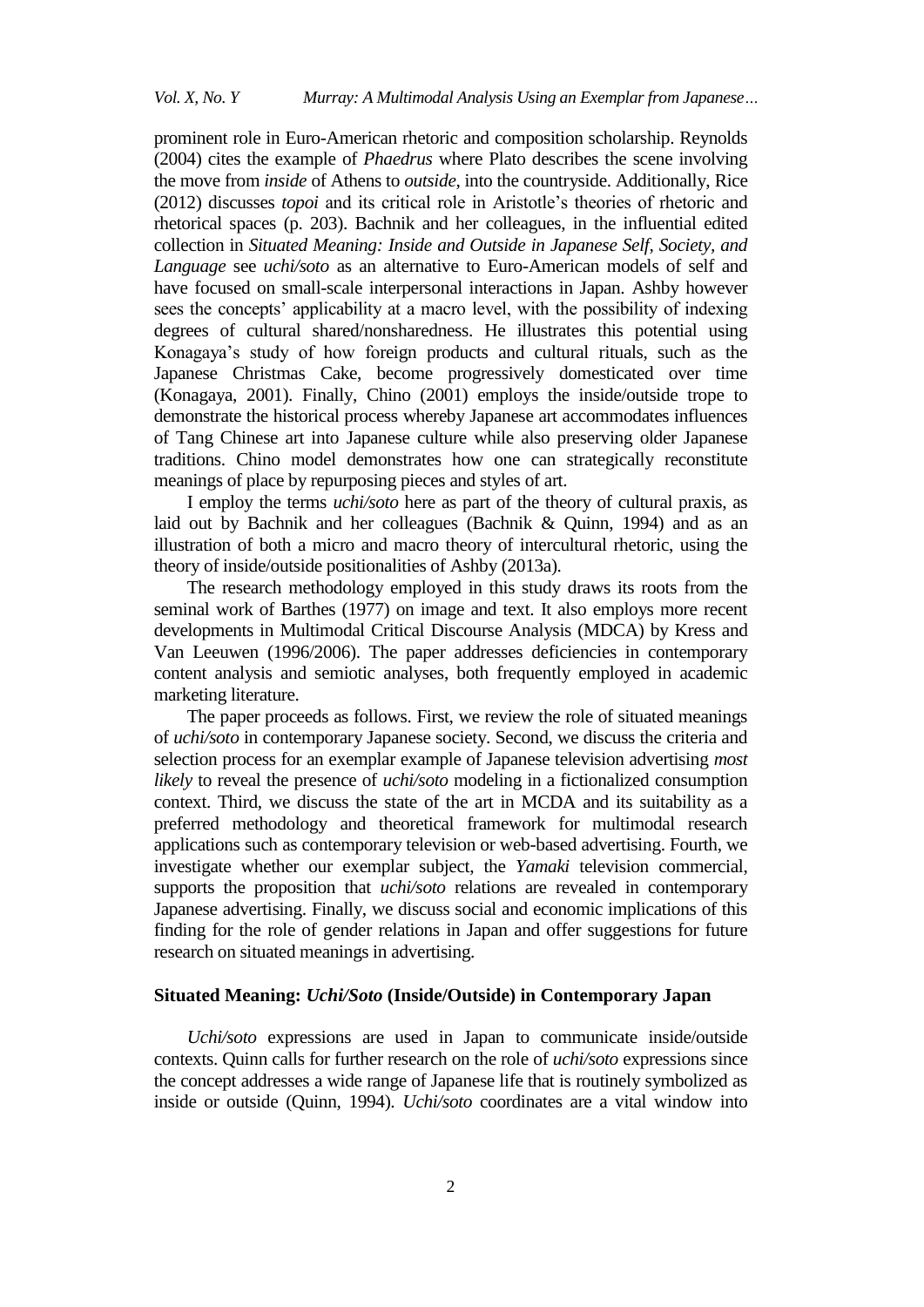prominent role in Euro-American rhetoric and composition scholarship. Reynolds (2004) cites the example of *Phaedrus* where Plato describes the scene involving the move from *inside* of Athens to *outside*, into the countryside. Additionally, Rice (2012) discusses *topoi* and its critical role in Aristotle"s theories of rhetoric and rhetorical spaces (p. 203). Bachnik and her colleagues, in the influential edited collection in *Situated Meaning: Inside and Outside in Japanese Self, Society, and Language* see *uchi/soto* as an alternative to Euro-American models of self and have focused on small-scale interpersonal interactions in Japan. Ashby however sees the concepts' applicability at a macro level, with the possibility of indexing degrees of cultural shared/nonsharedness. He illustrates this potential using Konagaya"s study of how foreign products and cultural rituals, such as the Japanese Christmas Cake, become progressively domesticated over time (Konagaya, 2001). Finally, Chino (2001) employs the inside/outside trope to demonstrate the historical process whereby Japanese art accommodates influences of Tang Chinese art into Japanese culture while also preserving older Japanese traditions. Chino model demonstrates how one can strategically reconstitute meanings of place by repurposing pieces and styles of art.

I employ the terms *uchi/soto* here as part of the theory of cultural praxis, as laid out by Bachnik and her colleagues (Bachnik & Quinn, 1994) and as an illustration of both a micro and macro theory of intercultural rhetoric, using the theory of inside/outside positionalities of Ashby (2013a).

The research methodology employed in this study draws its roots from the seminal work of Barthes (1977) on image and text. It also employs more recent developments in Multimodal Critical Discourse Analysis (MDCA) by Kress and Van Leeuwen (1996/2006). The paper addresses deficiencies in contemporary content analysis and semiotic analyses, both frequently employed in academic marketing literature.

The paper proceeds as follows. First, we review the role of situated meanings of *uchi/soto* in contemporary Japanese society. Second, we discuss the criteria and selection process for an exemplar example of Japanese television advertising *most likely* to reveal the presence of *uchi/soto* modeling in a fictionalized consumption context. Third, we discuss the state of the art in MCDA and its suitability as a preferred methodology and theoretical framework for multimodal research applications such as contemporary television or web-based advertising. Fourth, we investigate whether our exemplar subject, the *Yamaki* television commercial, supports the proposition that *uchi/soto* relations are revealed in contemporary Japanese advertising. Finally, we discuss social and economic implications of this finding for the role of gender relations in Japan and offer suggestions for future research on situated meanings in advertising.

# **Situated Meaning:** *Uchi/Soto* **(Inside/Outside) in Contemporary Japan**

*Uchi/soto* expressions are used in Japan to communicate inside/outside contexts. Quinn calls for further research on the role of *uchi/soto* expressions since the concept addresses a wide range of Japanese life that is routinely symbolized as inside or outside (Quinn, 1994). *Uchi/soto* coordinates are a vital window into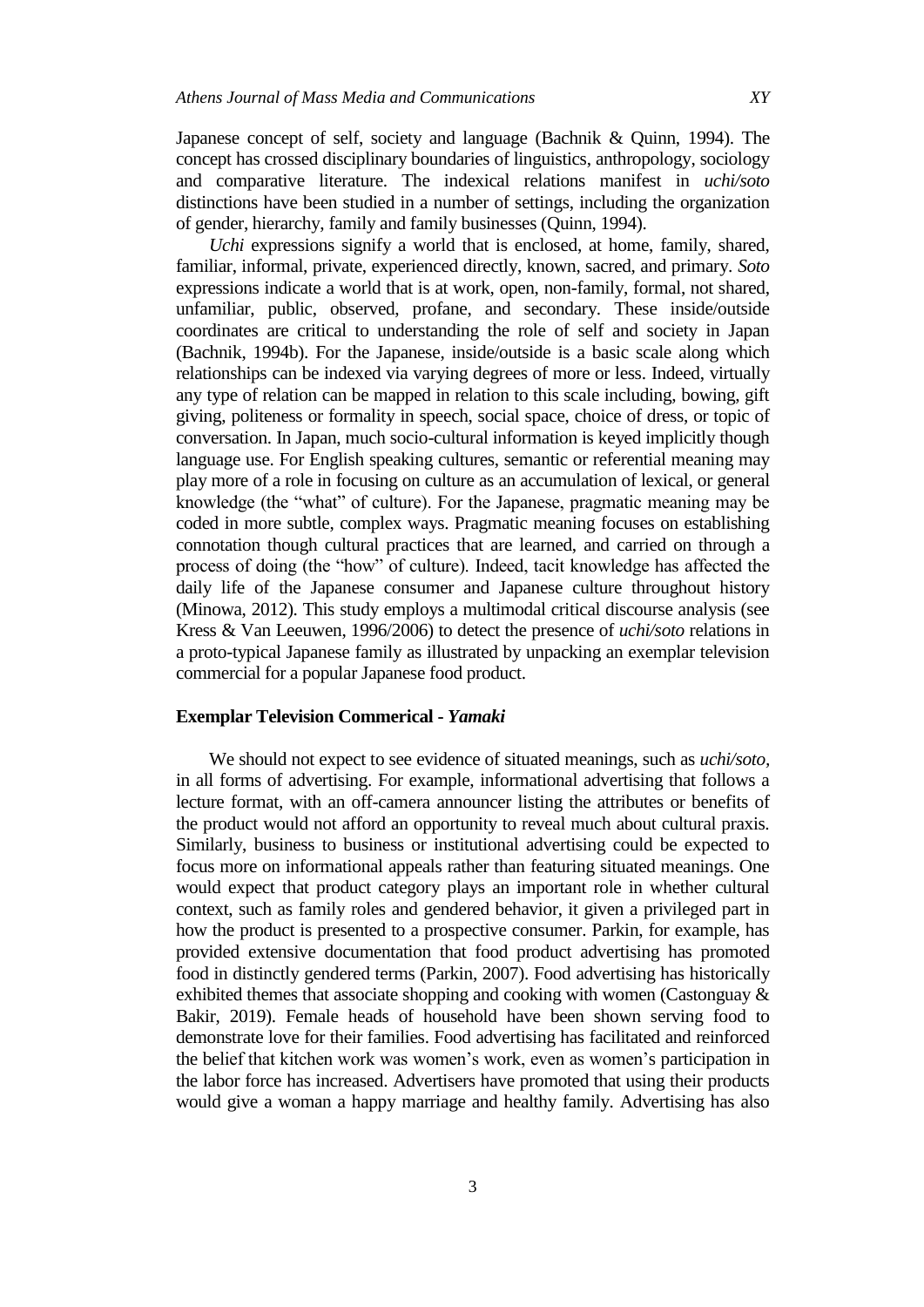Japanese concept of self, society and language (Bachnik & Quinn, 1994). The concept has crossed disciplinary boundaries of linguistics, anthropology, sociology and comparative literature. The indexical relations manifest in *uchi/soto* distinctions have been studied in a number of settings, including the organization of gender, hierarchy, family and family businesses (Quinn, 1994).

*Uchi* expressions signify a world that is enclosed, at home, family, shared, familiar, informal, private, experienced directly, known, sacred, and primary. *Soto*  expressions indicate a world that is at work, open, non-family, formal, not shared, unfamiliar, public, observed, profane, and secondary. These inside/outside coordinates are critical to understanding the role of self and society in Japan (Bachnik, 1994b). For the Japanese, inside/outside is a basic scale along which relationships can be indexed via varying degrees of more or less. Indeed, virtually any type of relation can be mapped in relation to this scale including, bowing, gift giving, politeness or formality in speech, social space, choice of dress, or topic of conversation. In Japan, much socio-cultural information is keyed implicitly though language use. For English speaking cultures, semantic or referential meaning may play more of a role in focusing on culture as an accumulation of lexical, or general knowledge (the "what" of culture). For the Japanese, pragmatic meaning may be coded in more subtle, complex ways. Pragmatic meaning focuses on establishing connotation though cultural practices that are learned, and carried on through a process of doing (the "how" of culture). Indeed, tacit knowledge has affected the daily life of the Japanese consumer and Japanese culture throughout history (Minowa, 2012). This study employs a multimodal critical discourse analysis (see Kress & Van Leeuwen, 1996/2006) to detect the presence of *uchi/soto* relations in a proto-typical Japanese family as illustrated by unpacking an exemplar television commercial for a popular Japanese food product.

### **Exemplar Television Commerical -** *Yamaki*

We should not expect to see evidence of situated meanings, such as *uchi/soto,*  in all forms of advertising. For example, informational advertising that follows a lecture format, with an off-camera announcer listing the attributes or benefits of the product would not afford an opportunity to reveal much about cultural praxis. Similarly, business to business or institutional advertising could be expected to focus more on informational appeals rather than featuring situated meanings. One would expect that product category plays an important role in whether cultural context, such as family roles and gendered behavior, it given a privileged part in how the product is presented to a prospective consumer. Parkin, for example, has provided extensive documentation that food product advertising has promoted food in distinctly gendered terms (Parkin, 2007). Food advertising has historically exhibited themes that associate shopping and cooking with women (Castonguay & Bakir, 2019). Female heads of household have been shown serving food to demonstrate love for their families. Food advertising has facilitated and reinforced the belief that kitchen work was women"s work, even as women"s participation in the labor force has increased. Advertisers have promoted that using their products would give a woman a happy marriage and healthy family. Advertising has also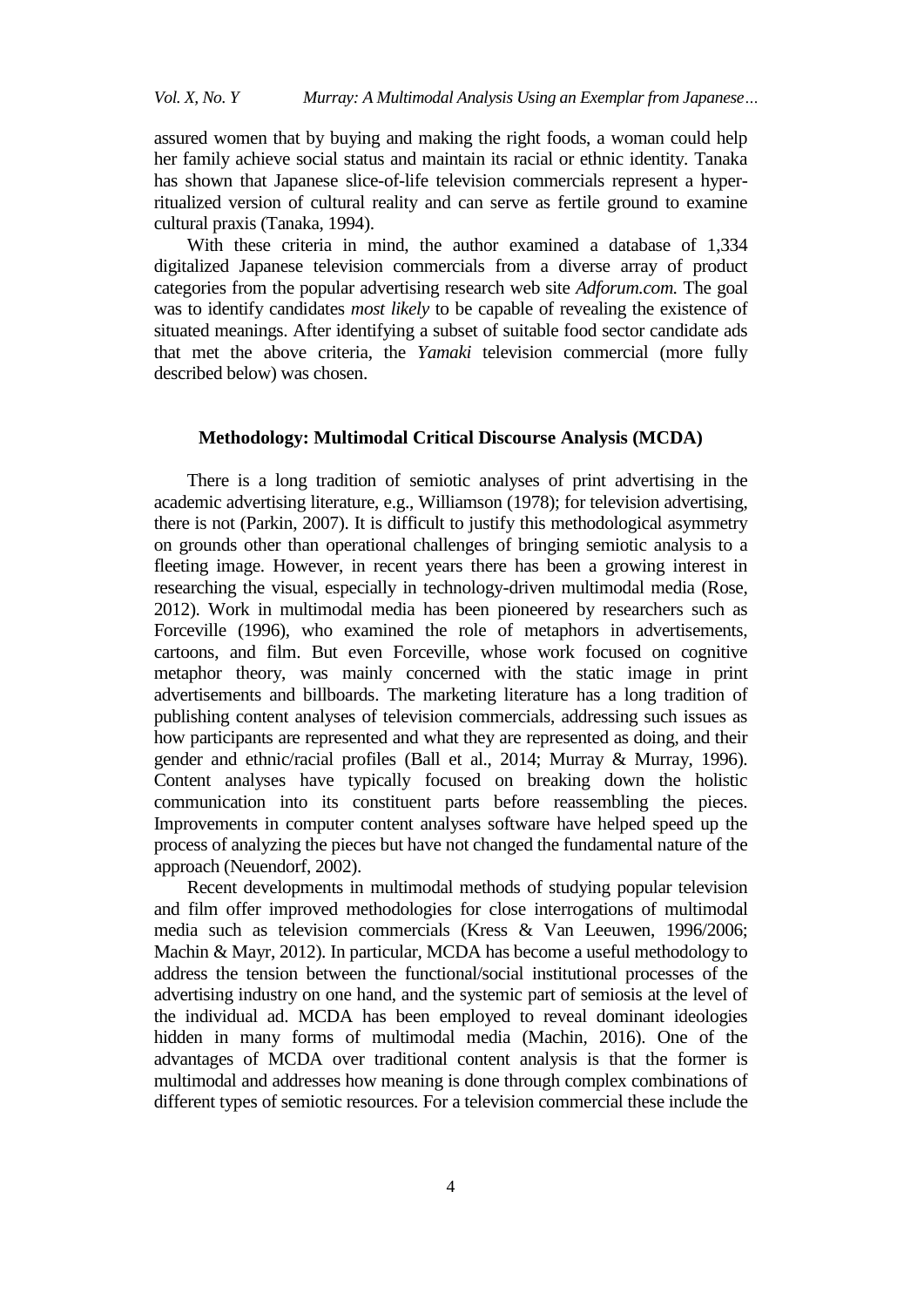assured women that by buying and making the right foods, a woman could help her family achieve social status and maintain its racial or ethnic identity. Tanaka has shown that Japanese slice-of-life television commercials represent a hyperritualized version of cultural reality and can serve as fertile ground to examine cultural praxis (Tanaka, 1994).

With these criteria in mind, the author examined a database of 1,334 digitalized Japanese television commercials from a diverse array of product categories from the popular advertising research web site *Adforum.com.* The goal was to identify candidates *most likely* to be capable of revealing the existence of situated meanings. After identifying a subset of suitable food sector candidate ads that met the above criteria, the *Yamaki* television commercial (more fully described below) was chosen.

#### **Methodology: Multimodal Critical Discourse Analysis (MCDA)**

There is a long tradition of semiotic analyses of print advertising in the academic advertising literature, e.g., Williamson (1978); for television advertising, there is not (Parkin, 2007). It is difficult to justify this methodological asymmetry on grounds other than operational challenges of bringing semiotic analysis to a fleeting image. However, in recent years there has been a growing interest in researching the visual, especially in technology-driven multimodal media (Rose, 2012). Work in multimodal media has been pioneered by researchers such as Forceville (1996), who examined the role of metaphors in advertisements, cartoons, and film. But even Forceville, whose work focused on cognitive metaphor theory, was mainly concerned with the static image in print advertisements and billboards. The marketing literature has a long tradition of publishing content analyses of television commercials, addressing such issues as how participants are represented and what they are represented as doing, and their gender and ethnic/racial profiles (Ball et al., 2014; Murray & Murray, 1996). Content analyses have typically focused on breaking down the holistic communication into its constituent parts before reassembling the pieces. Improvements in computer content analyses software have helped speed up the process of analyzing the pieces but have not changed the fundamental nature of the approach (Neuendorf, 2002).

Recent developments in multimodal methods of studying popular television and film offer improved methodologies for close interrogations of multimodal media such as television commercials (Kress & Van Leeuwen, 1996/2006; Machin & Mayr, 2012). In particular, MCDA has become a useful methodology to address the tension between the functional/social institutional processes of the advertising industry on one hand, and the systemic part of semiosis at the level of the individual ad. MCDA has been employed to reveal dominant ideologies hidden in many forms of multimodal media (Machin, 2016). One of the advantages of MCDA over traditional content analysis is that the former is multimodal and addresses how meaning is done through complex combinations of different types of semiotic resources. For a television commercial these include the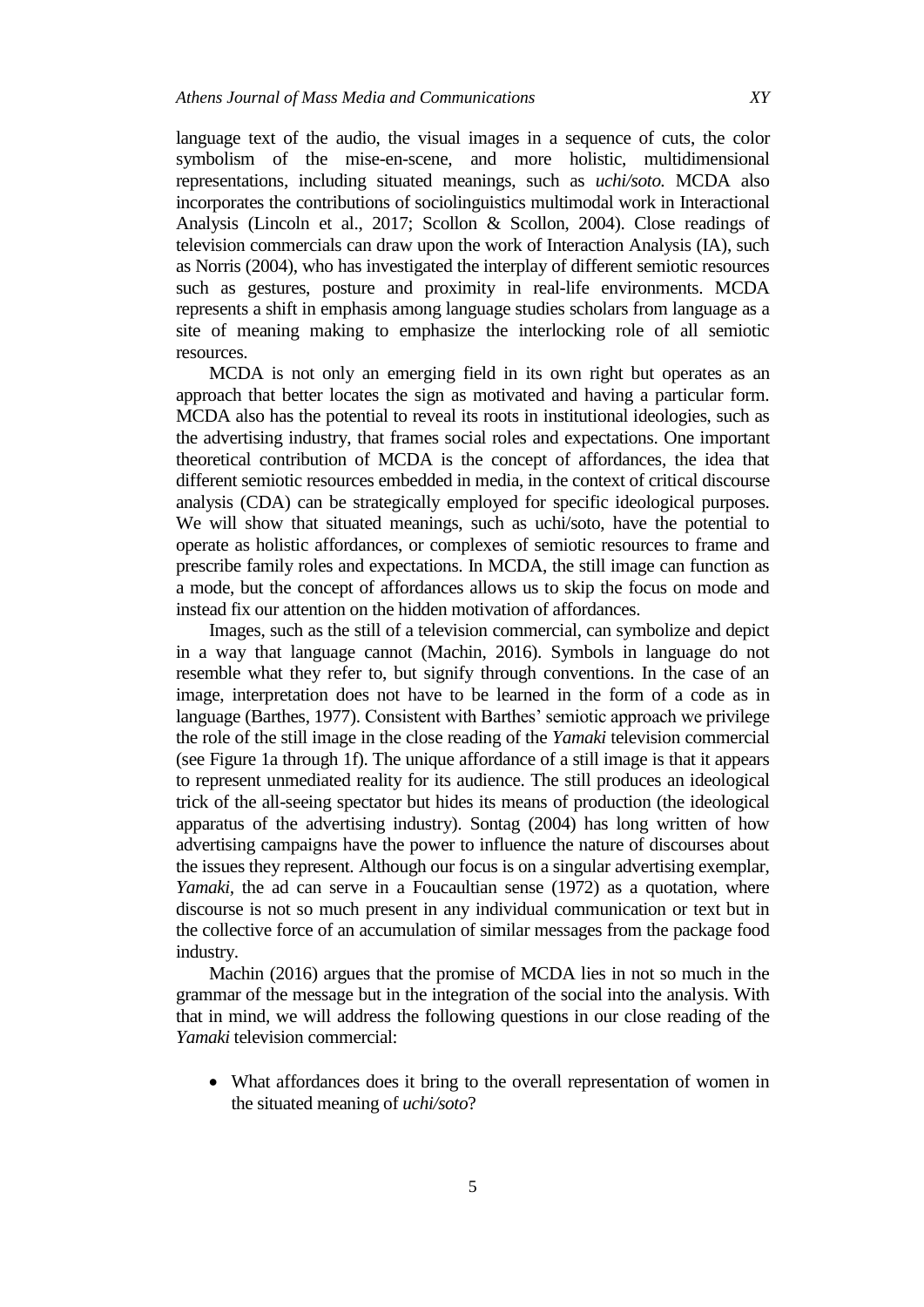language text of the audio, the visual images in a sequence of cuts, the color symbolism of the mise-en-scene, and more holistic, multidimensional representations, including situated meanings, such as *uchi/soto.* MCDA also incorporates the contributions of sociolinguistics multimodal work in Interactional Analysis (Lincoln et al., 2017; Scollon & Scollon, 2004). Close readings of television commercials can draw upon the work of Interaction Analysis (IA), such as Norris (2004), who has investigated the interplay of different semiotic resources such as gestures, posture and proximity in real-life environments. MCDA represents a shift in emphasis among language studies scholars from language as a site of meaning making to emphasize the interlocking role of all semiotic resources.

MCDA is not only an emerging field in its own right but operates as an approach that better locates the sign as motivated and having a particular form. MCDA also has the potential to reveal its roots in institutional ideologies, such as the advertising industry, that frames social roles and expectations. One important theoretical contribution of MCDA is the concept of affordances, the idea that different semiotic resources embedded in media, in the context of critical discourse analysis (CDA) can be strategically employed for specific ideological purposes. We will show that situated meanings, such as uchi/soto, have the potential to operate as holistic affordances, or complexes of semiotic resources to frame and prescribe family roles and expectations. In MCDA, the still image can function as a mode, but the concept of affordances allows us to skip the focus on mode and instead fix our attention on the hidden motivation of affordances.

Images, such as the still of a television commercial, can symbolize and depict in a way that language cannot (Machin, 2016). Symbols in language do not resemble what they refer to, but signify through conventions. In the case of an image, interpretation does not have to be learned in the form of a code as in language (Barthes, 1977). Consistent with Barthes' semiotic approach we privilege the role of the still image in the close reading of the *Yamaki* television commercial (see Figure 1a through 1f). The unique affordance of a still image is that it appears to represent unmediated reality for its audience. The still produces an ideological trick of the all-seeing spectator but hides its means of production (the ideological apparatus of the advertising industry). Sontag (2004) has long written of how advertising campaigns have the power to influence the nature of discourses about the issues they represent. Although our focus is on a singular advertising exemplar, *Yamaki*, the ad can serve in a Foucaultian sense (1972) as a quotation, where discourse is not so much present in any individual communication or text but in the collective force of an accumulation of similar messages from the package food industry.

Machin (2016) argues that the promise of MCDA lies in not so much in the grammar of the message but in the integration of the social into the analysis. With that in mind, we will address the following questions in our close reading of the *Yamaki* television commercial:

 What affordances does it bring to the overall representation of women in the situated meaning of *uchi/soto*?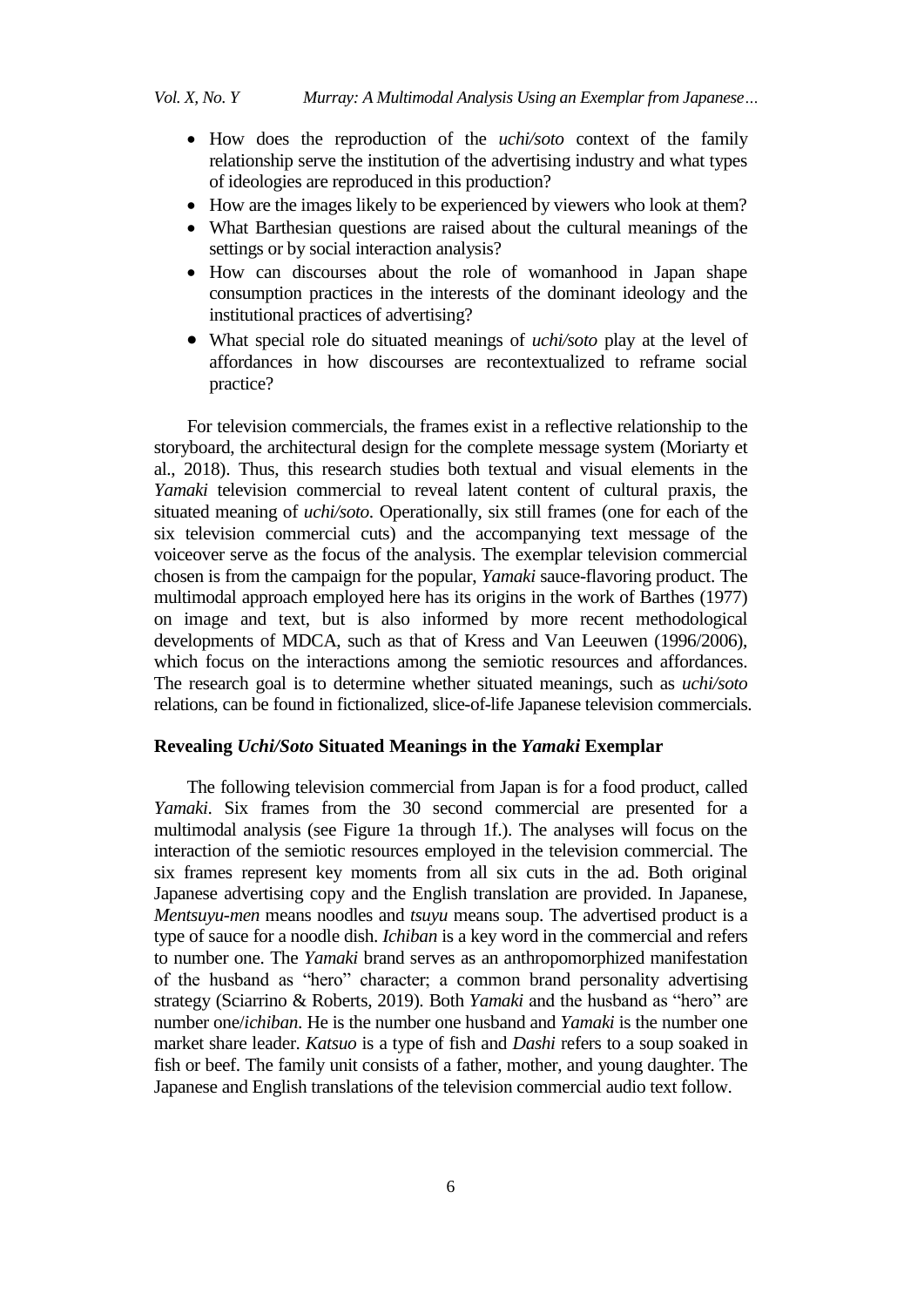- How does the reproduction of the *uchi/soto* context of the family relationship serve the institution of the advertising industry and what types of ideologies are reproduced in this production?
- How are the images likely to be experienced by viewers who look at them?
- What Barthesian questions are raised about the cultural meanings of the settings or by social interaction analysis?
- How can discourses about the role of womanhood in Japan shape consumption practices in the interests of the dominant ideology and the institutional practices of advertising?
- What special role do situated meanings of *uchi/soto* play at the level of affordances in how discourses are recontextualized to reframe social practice?

For television commercials, the frames exist in a reflective relationship to the storyboard, the architectural design for the complete message system (Moriarty et al., 2018). Thus, this research studies both textual and visual elements in the *Yamaki* television commercial to reveal latent content of cultural praxis, the situated meaning of *uchi/soto*. Operationally, six still frames (one for each of the six television commercial cuts) and the accompanying text message of the voiceover serve as the focus of the analysis. The exemplar television commercial chosen is from the campaign for the popular, *Yamaki* sauce-flavoring product. The multimodal approach employed here has its origins in the work of Barthes (1977) on image and text, but is also informed by more recent methodological developments of MDCA, such as that of Kress and Van Leeuwen (1996/2006), which focus on the interactions among the semiotic resources and affordances. The research goal is to determine whether situated meanings, such as *uchi/soto* relations, can be found in fictionalized, slice-of-life Japanese television commercials.

## **Revealing** *Uchi/Soto* **Situated Meanings in the** *Yamaki* **Exemplar**

The following television commercial from Japan is for a food product, called *Yamaki*. Six frames from the 30 second commercial are presented for a multimodal analysis (see Figure 1a through 1f.). The analyses will focus on the interaction of the semiotic resources employed in the television commercial. The six frames represent key moments from all six cuts in the ad. Both original Japanese advertising copy and the English translation are provided. In Japanese, *Mentsuyu-men* means noodles and *tsuyu* means soup. The advertised product is a type of sauce for a noodle dish. *Ichiban* is a key word in the commercial and refers to number one. The *Yamaki* brand serves as an anthropomorphized manifestation of the husband as "hero" character; a common brand personality advertising strategy (Sciarrino & Roberts, 2019). Both *Yamaki* and the husband as "hero" are number one/*ichiban*. He is the number one husband and *Yamaki* is the number one market share leader. *Katsuo* is a type of fish and *Dashi* refers to a soup soaked in fish or beef. The family unit consists of a father, mother, and young daughter. The Japanese and English translations of the television commercial audio text follow.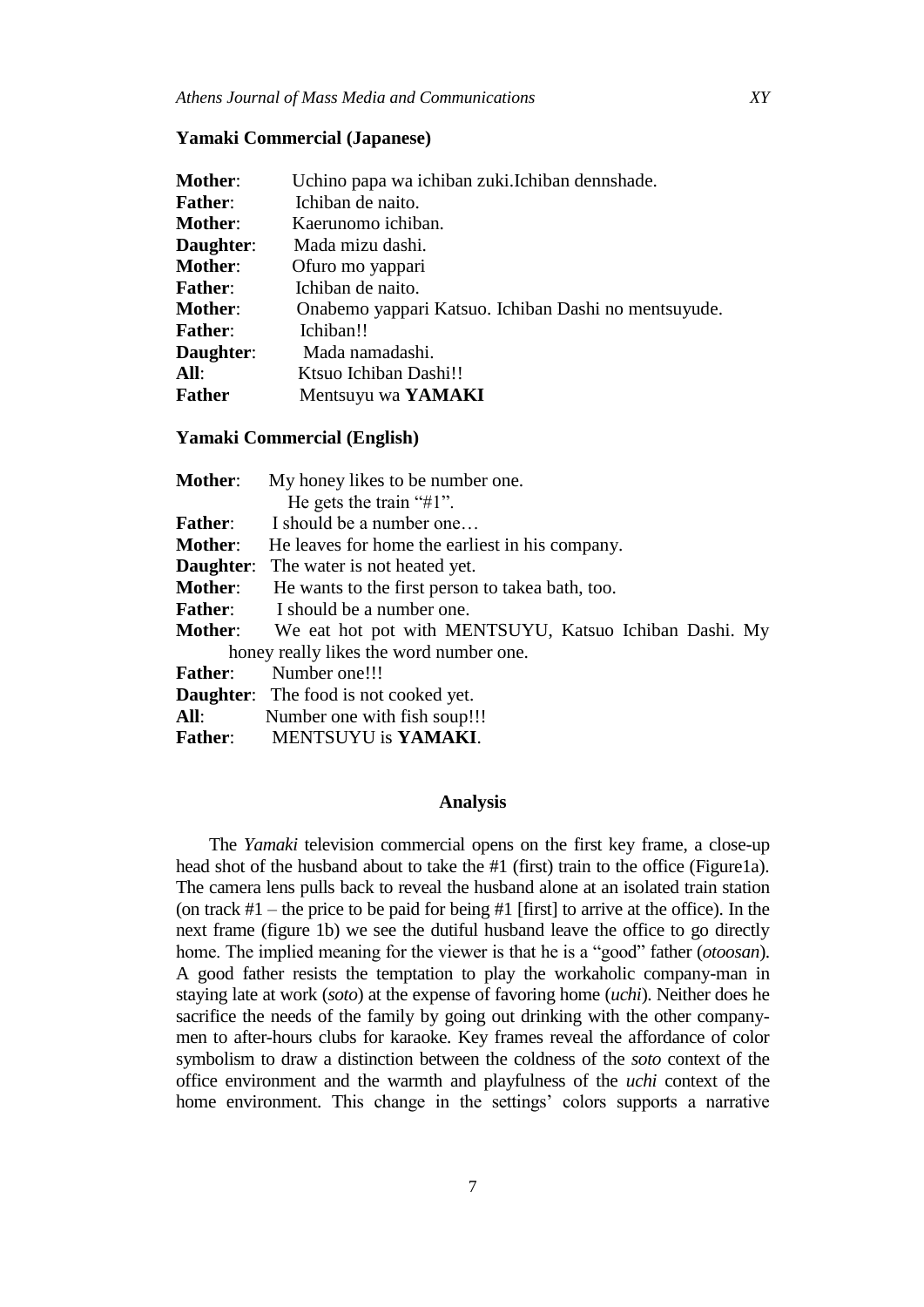## **Yamaki Commercial (Japanese)**

| Uchino papa wa ichiban zuki.Ichiban dennshade.       |
|------------------------------------------------------|
| Ichiban de naito.                                    |
| Kaerunomo ichiban.                                   |
| Mada mizu dashi.                                     |
| Ofuro mo yappari                                     |
| Ichiban de naito.                                    |
| Onabemo yappari Katsuo. Ichiban Dashi no mentsuyude. |
| Ichiban!!                                            |
| Mada namadashi.                                      |
| Ktsuo Ichiban Dashi!!                                |
| Mentsuyu wa YAMAKI                                   |
|                                                      |

## **Yamaki Commercial (English)**

| <b>Mother:</b> | My honey likes to be number one.                                      |
|----------------|-----------------------------------------------------------------------|
|                | He gets the train " $#1$ ".                                           |
| <b>Father:</b> | I should be a number one                                              |
| <b>Mother:</b> | He leaves for home the earliest in his company.                       |
|                | <b>Daughter:</b> The water is not heated yet.                         |
| Mother:        | He wants to the first person to take abath, too.                      |
|                | <b>Father:</b> I should be a number one.                              |
|                | <b>Mother:</b> We eat hot pot with MENTSUYU, Katsuo Ichiban Dashi. My |
|                | honey really likes the word number one.                               |
| <b>Father:</b> | Number one!!!                                                         |
|                | <b>Daughter:</b> The food is not cooked yet.                          |
| All:           | Number one with fish soup!!!                                          |
|                | Father: MENTSUYU is YAMAKI.                                           |

#### **Analysis**

The *Yamaki* television commercial opens on the first key frame, a close-up head shot of the husband about to take the #1 (first) train to the office (Figure1a). The camera lens pulls back to reveal the husband alone at an isolated train station (on track  $#1$  – the price to be paid for being  $#1$  [first] to arrive at the office). In the next frame (figure 1b) we see the dutiful husband leave the office to go directly home. The implied meaning for the viewer is that he is a "good" father (*otoosan*). A good father resists the temptation to play the workaholic company-man in staying late at work (*soto*) at the expense of favoring home (*uchi*). Neither does he sacrifice the needs of the family by going out drinking with the other companymen to after-hours clubs for karaoke. Key frames reveal the affordance of color symbolism to draw a distinction between the coldness of the *soto* context of the office environment and the warmth and playfulness of the *uchi* context of the home environment. This change in the settings' colors supports a narrative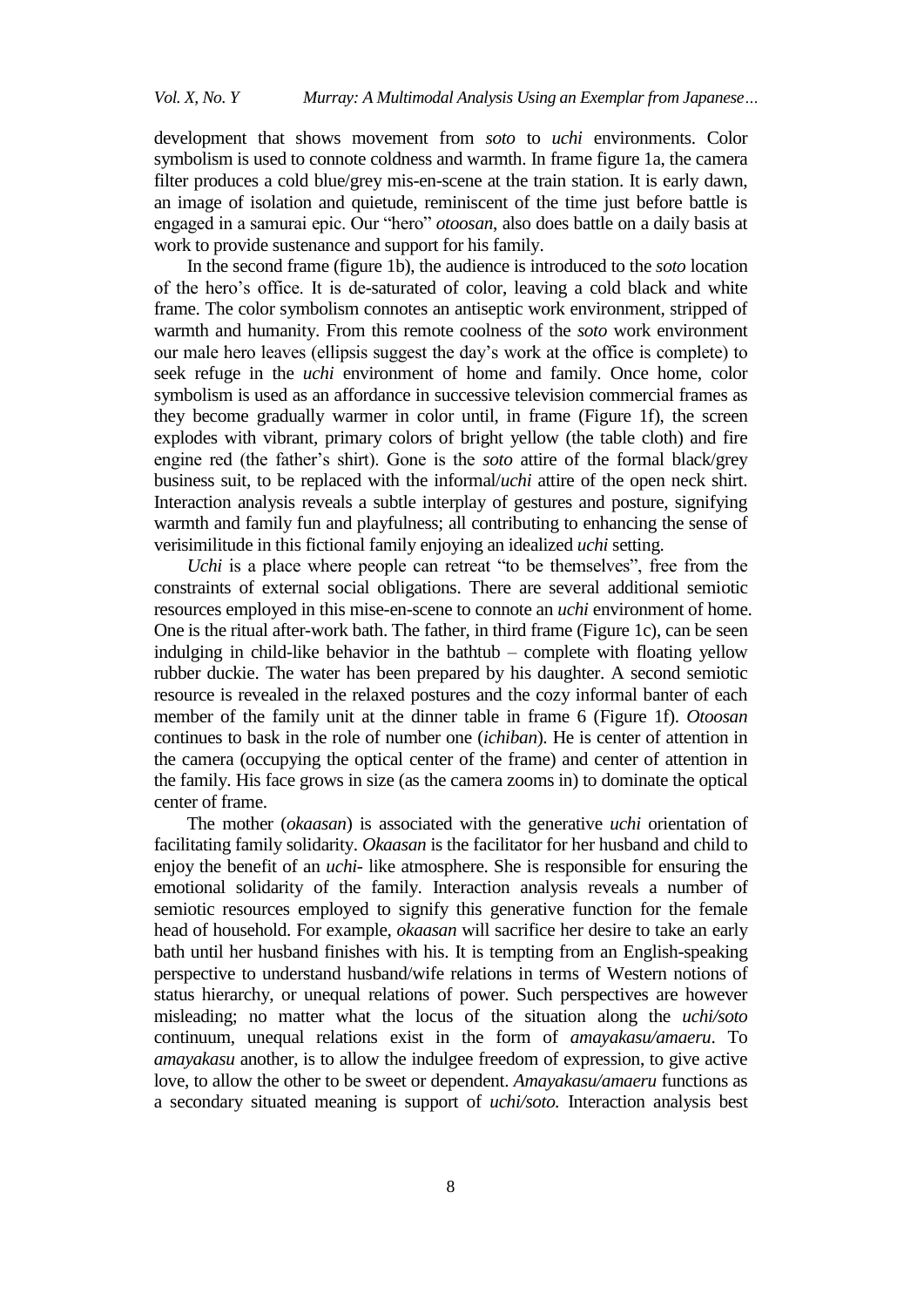development that shows movement from *soto* to *uchi* environments. Color symbolism is used to connote coldness and warmth. In frame figure 1a, the camera filter produces a cold blue/grey mis-en-scene at the train station. It is early dawn, an image of isolation and quietude, reminiscent of the time just before battle is engaged in a samurai epic. Our "hero" *otoosan*, also does battle on a daily basis at work to provide sustenance and support for his family.

In the second frame (figure 1b), the audience is introduced to the *soto* location of the hero"s office. It is de-saturated of color, leaving a cold black and white frame. The color symbolism connotes an antiseptic work environment, stripped of warmth and humanity. From this remote coolness of the *soto* work environment our male hero leaves (ellipsis suggest the day"s work at the office is complete) to seek refuge in the *uchi* environment of home and family. Once home, color symbolism is used as an affordance in successive television commercial frames as they become gradually warmer in color until, in frame (Figure 1f), the screen explodes with vibrant, primary colors of bright yellow (the table cloth) and fire engine red (the father"s shirt). Gone is the *soto* attire of the formal black/grey business suit, to be replaced with the informal/*uchi* attire of the open neck shirt. Interaction analysis reveals a subtle interplay of gestures and posture, signifying warmth and family fun and playfulness; all contributing to enhancing the sense of verisimilitude in this fictional family enjoying an idealized *uchi* setting.

*Uchi* is a place where people can retreat "to be themselves", free from the constraints of external social obligations. There are several additional semiotic resources employed in this mise-en-scene to connote an *uchi* environment of home. One is the ritual after-work bath. The father, in third frame (Figure 1c), can be seen indulging in child-like behavior in the bathtub – complete with floating yellow rubber duckie. The water has been prepared by his daughter. A second semiotic resource is revealed in the relaxed postures and the cozy informal banter of each member of the family unit at the dinner table in frame 6 (Figure 1f). *Otoosan* continues to bask in the role of number one (*ichiban*). He is center of attention in the camera (occupying the optical center of the frame) and center of attention in the family. His face grows in size (as the camera zooms in) to dominate the optical center of frame.

The mother (*okaasan*) is associated with the generative *uchi* orientation of facilitating family solidarity. *Okaasan* is the facilitator for her husband and child to enjoy the benefit of an *uchi-* like atmosphere. She is responsible for ensuring the emotional solidarity of the family. Interaction analysis reveals a number of semiotic resources employed to signify this generative function for the female head of household. For example, *okaasan* will sacrifice her desire to take an early bath until her husband finishes with his. It is tempting from an English-speaking perspective to understand husband/wife relations in terms of Western notions of status hierarchy, or unequal relations of power. Such perspectives are however misleading; no matter what the locus of the situation along the *uchi/soto*  continuum, unequal relations exist in the form of *amayakasu/amaeru*. To *amayakasu* another, is to allow the indulgee freedom of expression, to give active love, to allow the other to be sweet or dependent. *Amayakasu/amaeru* functions as a secondary situated meaning is support of *uchi/soto.* Interaction analysis best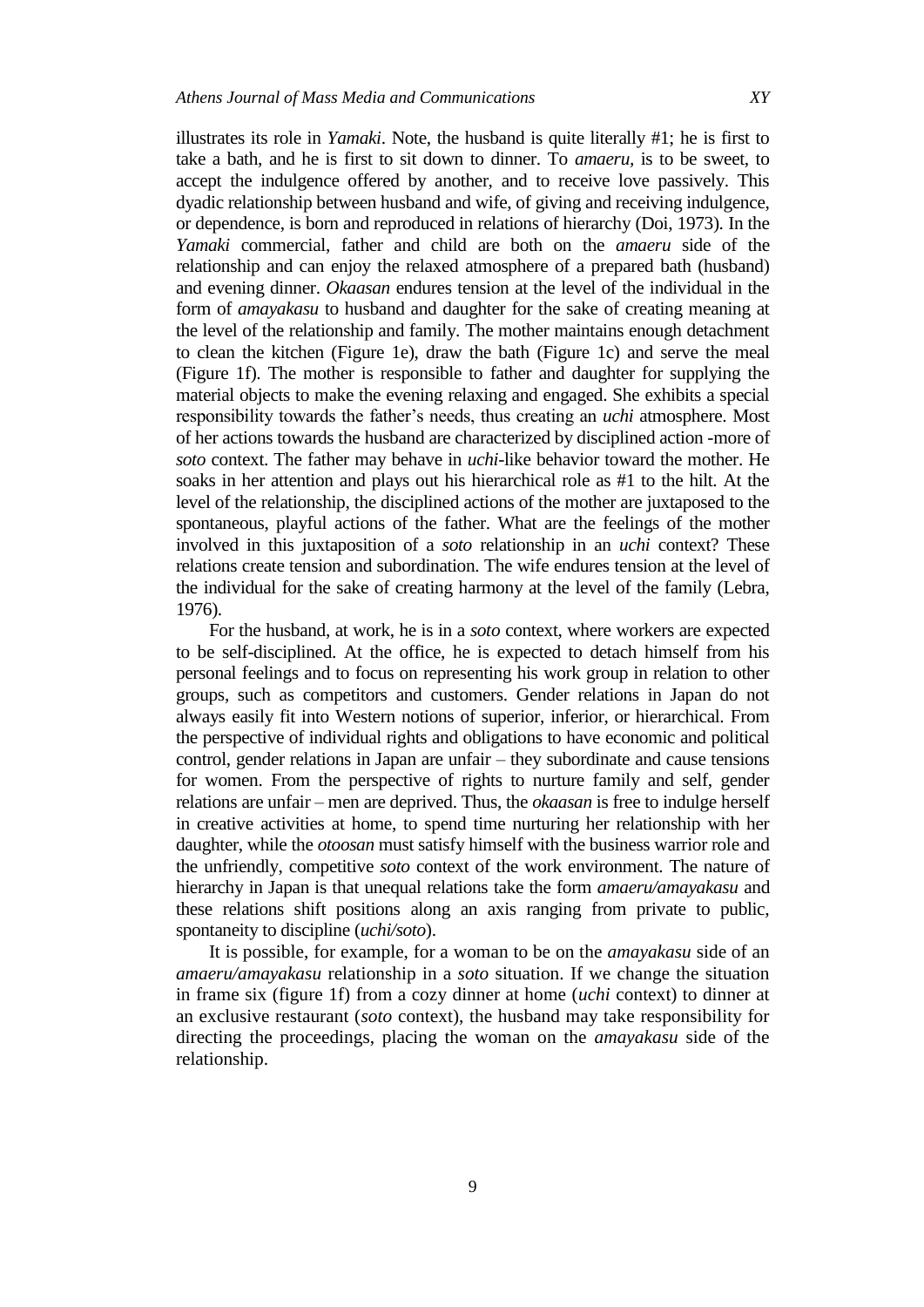illustrates its role in *Yamaki*. Note, the husband is quite literally #1; he is first to take a bath, and he is first to sit down to dinner. To *amaeru,* is to be sweet, to accept the indulgence offered by another, and to receive love passively. This dyadic relationship between husband and wife, of giving and receiving indulgence, or dependence, is born and reproduced in relations of hierarchy (Doi, 1973). In the *Yamaki* commercial, father and child are both on the *amaeru* side of the relationship and can enjoy the relaxed atmosphere of a prepared bath (husband) and evening dinner. *Okaasan* endures tension at the level of the individual in the form of *amayakasu* to husband and daughter for the sake of creating meaning at the level of the relationship and family. The mother maintains enough detachment to clean the kitchen (Figure 1e), draw the bath (Figure 1c) and serve the meal (Figure 1f). The mother is responsible to father and daughter for supplying the material objects to make the evening relaxing and engaged. She exhibits a special responsibility towards the father"s needs, thus creating an *uchi* atmosphere. Most of her actions towards the husband are characterized by disciplined action -more of *soto* context. The father may behave in *uchi-*like behavior toward the mother. He soaks in her attention and plays out his hierarchical role as #1 to the hilt. At the level of the relationship, the disciplined actions of the mother are juxtaposed to the spontaneous, playful actions of the father. What are the feelings of the mother involved in this juxtaposition of a *soto* relationship in an *uchi* context? These relations create tension and subordination. The wife endures tension at the level of the individual for the sake of creating harmony at the level of the family (Lebra, 1976).

For the husband, at work, he is in a *soto* context, where workers are expected to be self-disciplined. At the office, he is expected to detach himself from his personal feelings and to focus on representing his work group in relation to other groups, such as competitors and customers. Gender relations in Japan do not always easily fit into Western notions of superior, inferior, or hierarchical. From the perspective of individual rights and obligations to have economic and political control, gender relations in Japan are unfair – they subordinate and cause tensions for women. From the perspective of rights to nurture family and self, gender relations are unfair – men are deprived. Thus, the *okaasan* is free to indulge herself in creative activities at home, to spend time nurturing her relationship with her daughter, while the *otoosan* must satisfy himself with the business warrior role and the unfriendly, competitive *soto* context of the work environment. The nature of hierarchy in Japan is that unequal relations take the form *amaeru/amayakasu* and these relations shift positions along an axis ranging from private to public, spontaneity to discipline (*uchi/soto*).

It is possible, for example, for a woman to be on the *amayakasu* side of an *amaeru/amayakasu* relationship in a *soto* situation. If we change the situation in frame six (figure 1f) from a cozy dinner at home (*uchi* context) to dinner at an exclusive restaurant (*soto* context), the husband may take responsibility for directing the proceedings, placing the woman on the *amayakasu* side of the relationship.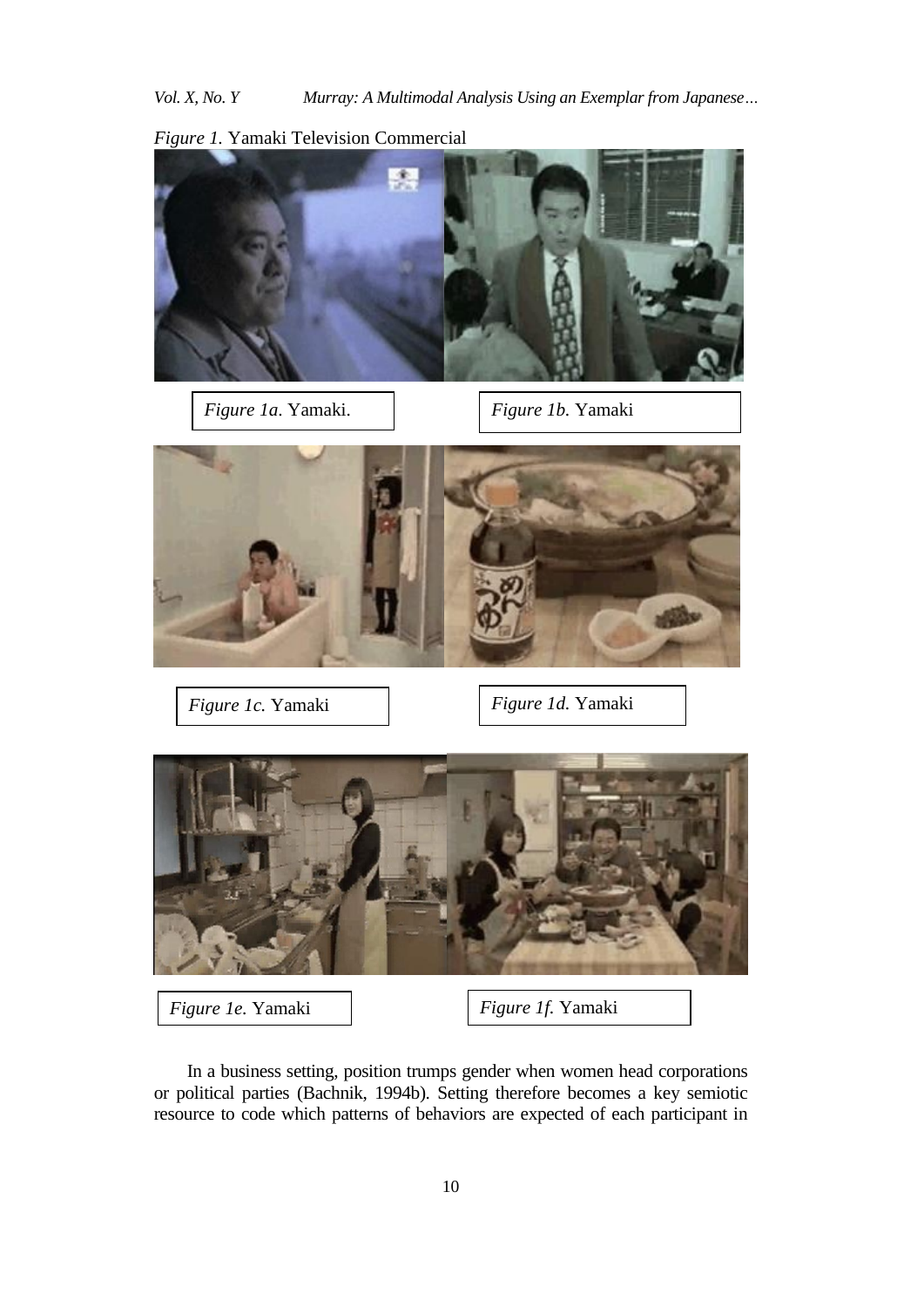*Vol. X, No. Y Murray: A Multimodal Analysis Using an Exemplar from Japanese…*



*Figure 1.* Yamaki Television Commercial

In a business setting, position trumps gender when women head corporations or political parties (Bachnik, 1994b). Setting therefore becomes a key semiotic resource to code which patterns of behaviors are expected of each participant in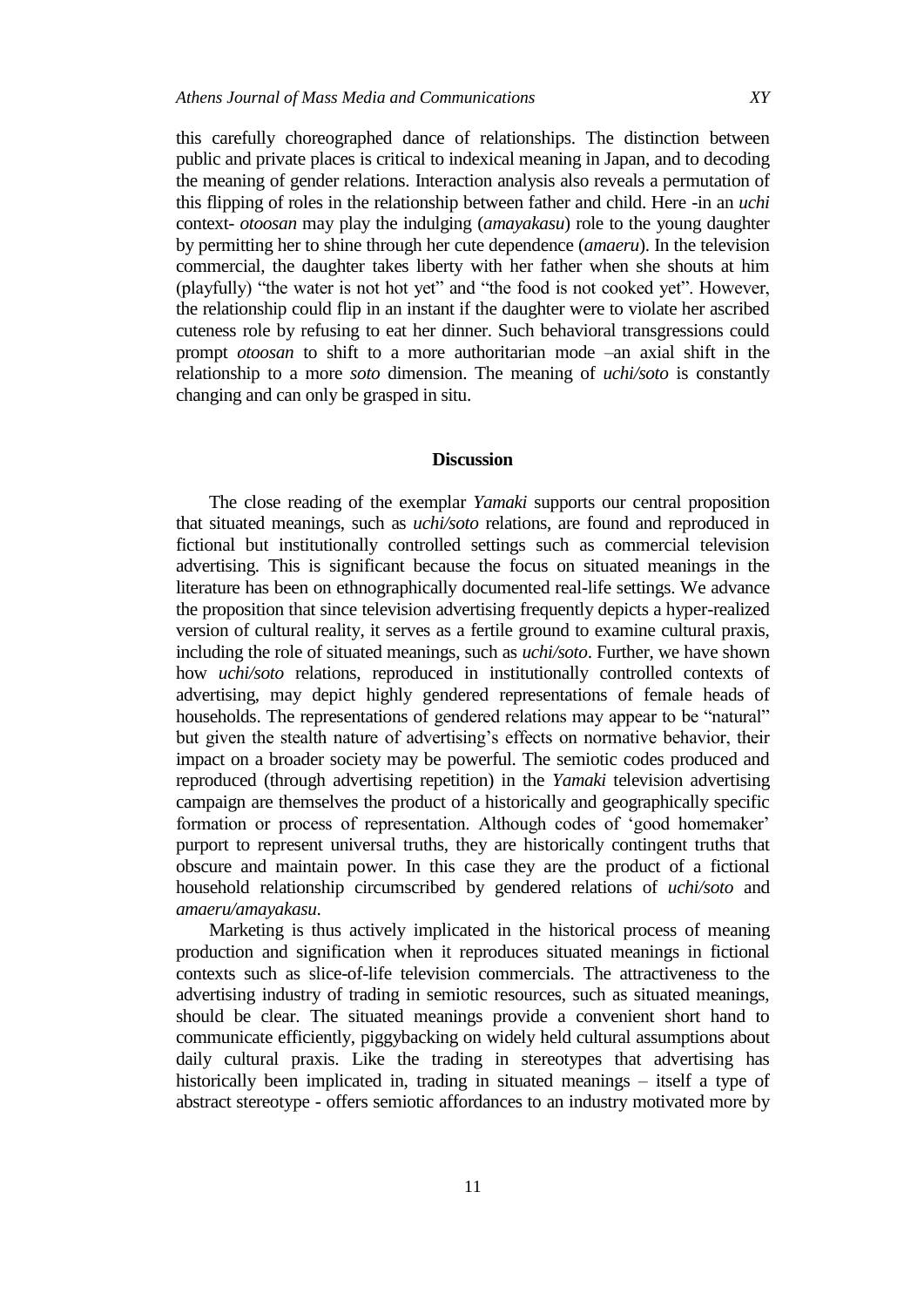this carefully choreographed dance of relationships. The distinction between public and private places is critical to indexical meaning in Japan, and to decoding the meaning of gender relations. Interaction analysis also reveals a permutation of this flipping of roles in the relationship between father and child. Here -in an *uchi*  context- *otoosan* may play the indulging (*amayakasu*) role to the young daughter by permitting her to shine through her cute dependence (*amaeru*). In the television commercial, the daughter takes liberty with her father when she shouts at him (playfully) "the water is not hot yet" and "the food is not cooked yet". However, the relationship could flip in an instant if the daughter were to violate her ascribed cuteness role by refusing to eat her dinner. Such behavioral transgressions could prompt *otoosan* to shift to a more authoritarian mode –an axial shift in the relationship to a more *soto* dimension. The meaning of *uchi/soto* is constantly changing and can only be grasped in situ.

## **Discussion**

The close reading of the exemplar *Yamaki* supports our central proposition that situated meanings, such as *uchi/soto* relations, are found and reproduced in fictional but institutionally controlled settings such as commercial television advertising. This is significant because the focus on situated meanings in the literature has been on ethnographically documented real-life settings. We advance the proposition that since television advertising frequently depicts a hyper-realized version of cultural reality, it serves as a fertile ground to examine cultural praxis, including the role of situated meanings, such as *uchi/soto*. Further, we have shown how *uchi/soto* relations, reproduced in institutionally controlled contexts of advertising, may depict highly gendered representations of female heads of households. The representations of gendered relations may appear to be "natural" but given the stealth nature of advertising's effects on normative behavior, their impact on a broader society may be powerful. The semiotic codes produced and reproduced (through advertising repetition) in the *Yamaki* television advertising campaign are themselves the product of a historically and geographically specific formation or process of representation. Although codes of "good homemaker" purport to represent universal truths, they are historically contingent truths that obscure and maintain power. In this case they are the product of a fictional household relationship circumscribed by gendered relations of *uchi/soto* and *amaeru/amayakasu*.

Marketing is thus actively implicated in the historical process of meaning production and signification when it reproduces situated meanings in fictional contexts such as slice-of-life television commercials. The attractiveness to the advertising industry of trading in semiotic resources, such as situated meanings, should be clear. The situated meanings provide a convenient short hand to communicate efficiently, piggybacking on widely held cultural assumptions about daily cultural praxis. Like the trading in stereotypes that advertising has historically been implicated in, trading in situated meanings – itself a type of abstract stereotype - offers semiotic affordances to an industry motivated more by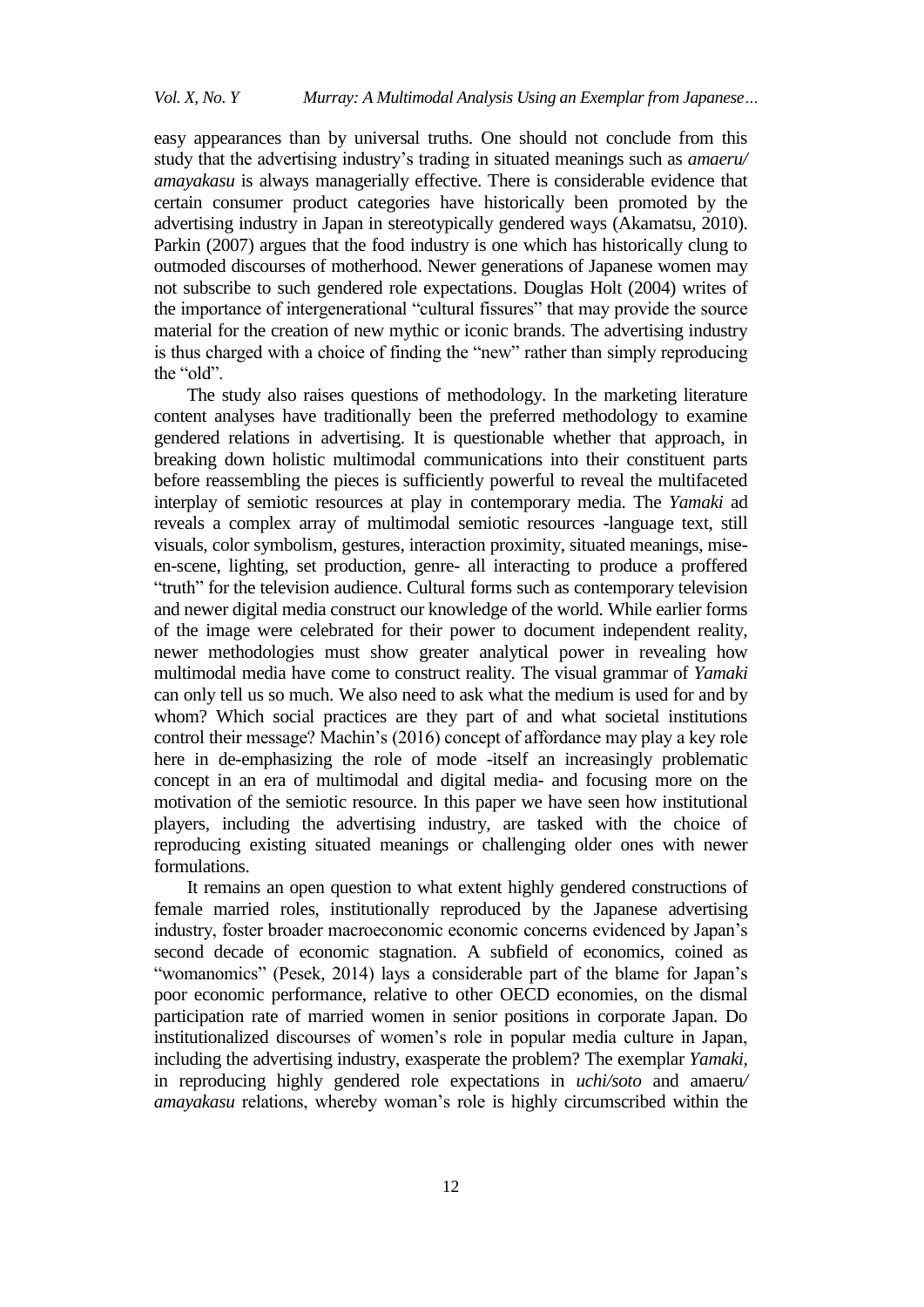easy appearances than by universal truths. One should not conclude from this study that the advertising industry"s trading in situated meanings such as *amaeru/ amayakasu* is always managerially effective. There is considerable evidence that certain consumer product categories have historically been promoted by the advertising industry in Japan in stereotypically gendered ways (Akamatsu, 2010). Parkin (2007) argues that the food industry is one which has historically clung to outmoded discourses of motherhood. Newer generations of Japanese women may not subscribe to such gendered role expectations. Douglas Holt (2004) writes of the importance of intergenerational "cultural fissures" that may provide the source material for the creation of new mythic or iconic brands. The advertising industry is thus charged with a choice of finding the "new" rather than simply reproducing the "old".

The study also raises questions of methodology. In the marketing literature content analyses have traditionally been the preferred methodology to examine gendered relations in advertising. It is questionable whether that approach, in breaking down holistic multimodal communications into their constituent parts before reassembling the pieces is sufficiently powerful to reveal the multifaceted interplay of semiotic resources at play in contemporary media. The *Yamaki* ad reveals a complex array of multimodal semiotic resources -language text, still visuals, color symbolism, gestures, interaction proximity, situated meanings, miseen-scene, lighting, set production, genre- all interacting to produce a proffered "truth" for the television audience. Cultural forms such as contemporary television and newer digital media construct our knowledge of the world. While earlier forms of the image were celebrated for their power to document independent reality, newer methodologies must show greater analytical power in revealing how multimodal media have come to construct reality. The visual grammar of *Yamaki* can only tell us so much. We also need to ask what the medium is used for and by whom? Which social practices are they part of and what societal institutions control their message? Machin"s (2016) concept of affordance may play a key role here in de-emphasizing the role of mode -itself an increasingly problematic concept in an era of multimodal and digital media- and focusing more on the motivation of the semiotic resource. In this paper we have seen how institutional players, including the advertising industry, are tasked with the choice of reproducing existing situated meanings or challenging older ones with newer formulations.

It remains an open question to what extent highly gendered constructions of female married roles, institutionally reproduced by the Japanese advertising industry, foster broader macroeconomic economic concerns evidenced by Japan"s second decade of economic stagnation. A subfield of economics, coined as "womanomics" (Pesek, 2014) lays a considerable part of the blame for Japan's poor economic performance, relative to other OECD economies, on the dismal participation rate of married women in senior positions in corporate Japan. Do institutionalized discourses of women"s role in popular media culture in Japan, including the advertising industry, exasperate the problem? The exemplar *Yamaki,*  in reproducing highly gendered role expectations in *uchi/soto* and amaeru*/ amayakasu* relations, whereby woman"s role is highly circumscribed within the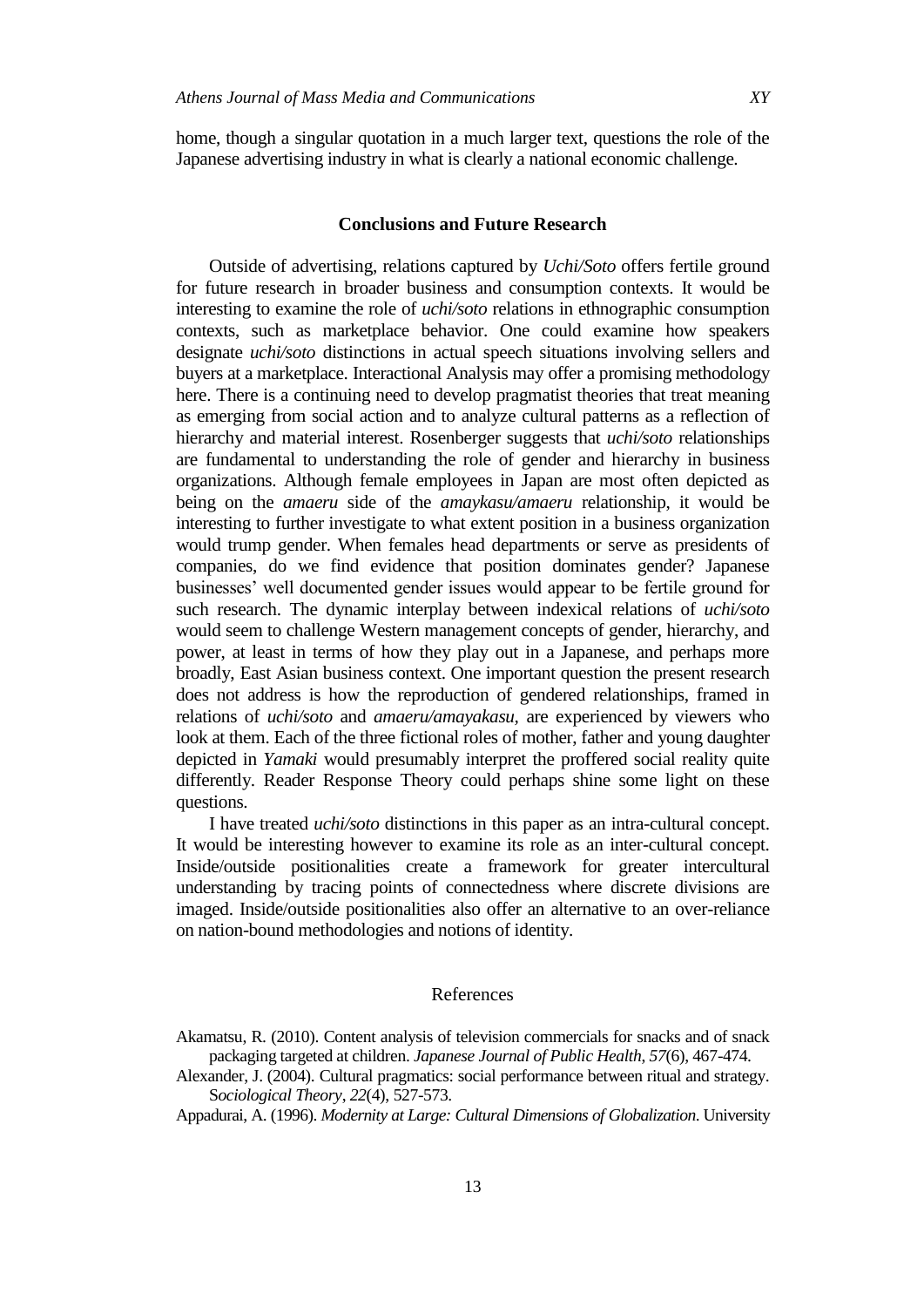home, though a singular quotation in a much larger text, questions the role of the Japanese advertising industry in what is clearly a national economic challenge.

### **Conclusions and Future Research**

Outside of advertising, relations captured by *Uchi/Soto* offers fertile ground for future research in broader business and consumption contexts. It would be interesting to examine the role of *uchi/soto* relations in ethnographic consumption contexts, such as marketplace behavior. One could examine how speakers designate *uchi/soto* distinctions in actual speech situations involving sellers and buyers at a marketplace. Interactional Analysis may offer a promising methodology here. There is a continuing need to develop pragmatist theories that treat meaning as emerging from social action and to analyze cultural patterns as a reflection of hierarchy and material interest. Rosenberger suggests that *uchi/soto* relationships are fundamental to understanding the role of gender and hierarchy in business organizations. Although female employees in Japan are most often depicted as being on the *amaeru* side of the *amaykasu/amaeru* relationship, it would be interesting to further investigate to what extent position in a business organization would trump gender. When females head departments or serve as presidents of companies, do we find evidence that position dominates gender? Japanese businesses" well documented gender issues would appear to be fertile ground for such research. The dynamic interplay between indexical relations of *uchi/soto* would seem to challenge Western management concepts of gender, hierarchy, and power, at least in terms of how they play out in a Japanese, and perhaps more broadly, East Asian business context. One important question the present research does not address is how the reproduction of gendered relationships, framed in relations of *uchi/soto* and *amaeru/amayakasu,* are experienced by viewers who look at them. Each of the three fictional roles of mother, father and young daughter depicted in *Yamaki* would presumably interpret the proffered social reality quite differently. Reader Response Theory could perhaps shine some light on these questions.

I have treated *uchi/soto* distinctions in this paper as an intra-cultural concept. It would be interesting however to examine its role as an inter-cultural concept. Inside/outside positionalities create a framework for greater intercultural understanding by tracing points of connectedness where discrete divisions are imaged. Inside/outside positionalities also offer an alternative to an over-reliance on nation-bound methodologies and notions of identity.

## References

Appadurai, A. (1996). *Modernity at Large: Cultural Dimensions of Globalization*. University

Akamatsu, R. (2010). Content analysis of television commercials for snacks and of snack packaging targeted at children. *Japanese Journal of Public Health*, *57*(6), 467-474.

Alexander, J. (2004). Cultural pragmatics: social performance between ritual and strategy. S*ociological Theory*, *22*(4), 527-573.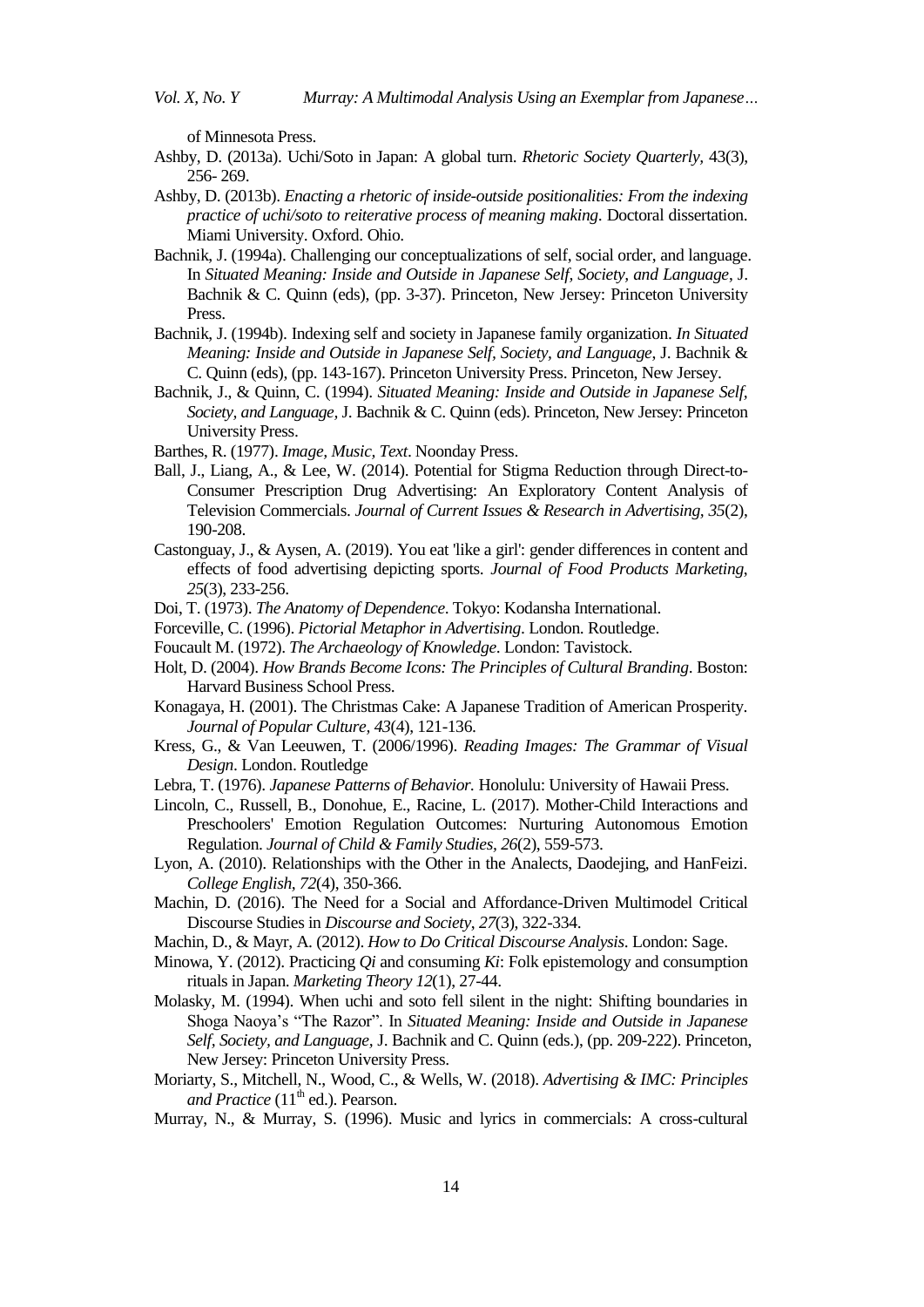of Minnesota Press.

- Ashby, D. (2013a). Uchi/Soto in Japan: A global turn. *Rhetoric Society Quarterly,* 43(3), 256- 269.
- Ashby, D. (2013b). *Enacting a rhetoric of inside-outside positionalities: From the indexing practice of uchi/soto to reiterative process of meaning making*. Doctoral dissertation. Miami University. Oxford. Ohio.
- Bachnik, J. (1994a). Challenging our conceptualizations of self, social order, and language. In *Situated Meaning: Inside and Outside in Japanese Self, Society, and Language*, J. Bachnik & C. Quinn (eds), (pp. 3-37). Princeton, New Jersey: Princeton University Press.
- Bachnik, J. (1994b). Indexing self and society in Japanese family organization. *In Situated Meaning: Inside and Outside in Japanese Self, Society, and Language*, J. Bachnik & C. Quinn (eds), (pp. 143-167). Princeton University Press. Princeton, New Jersey.
- Bachnik, J., & Quinn, C. (1994). *Situated Meaning: Inside and Outside in Japanese Self, Society, and Language,* J. Bachnik & C. Quinn (eds). Princeton, New Jersey: Princeton University Press.
- Barthes, R. (1977). *Image, Music, Text*. Noonday Press.
- Ball, J., Liang, A., & Lee, W. (2014). Potential for Stigma Reduction through Direct-to-Consumer Prescription Drug Advertising: An Exploratory Content Analysis of Television Commercials. *Journal of Current Issues & Research in Advertising, 35*(2), 190-208.
- Castonguay, J., & Aysen, A. (2019). You eat 'like a girl': gender differences in content and effects of food advertising depicting sports. *Journal of Food Products Marketing*, *25*(3), 233-256.
- Doi, T. (1973). *The Anatomy of Dependence*. Tokyo: Kodansha International.
- Forceville, C. (1996). *Pictorial Metaphor in Advertising*. London. Routledge.
- Foucault M. (1972). *The Archaeology of Knowledge*. London: Tavistock.
- Holt, D. (2004). *How Brands Become Icons: The Principles of Cultural Branding*. Boston: Harvard Business School Press.
- Konagaya, H. (2001). The Christmas Cake: A Japanese Tradition of American Prosperity. *Journal of Popular Culture, 43*(4), 121-136.
- Kress, G., & Van Leeuwen, T. (2006/1996). *Reading Images: The Grammar of Visual Design*. London. Routledge
- Lebra, T. (1976). *Japanese Patterns of Behavior.* Honolulu: University of Hawaii Press.
- Lincoln, C., Russell, B., Donohue, E., Racine, L. (2017). Mother-Child Interactions and Preschoolers' Emotion Regulation Outcomes: Nurturing Autonomous Emotion Regulation. *Journal of Child & Family Studies, 26*(2), 559-573.
- Lyon, A. (2010). Relationships with the Other in the Analects, Daodejing, and HanFeizi. *College English, 72*(4), 350-366.
- Machin, D. (2016). The Need for a Social and Affordance-Driven Multimodel Critical Discourse Studies in *Discourse and Society*, *27*(3), 322-334.
- Machin, D., & Mayr, A. (2012). *How to Do Critical Discourse Analysis*. London: Sage.
- Minowa, Y. (2012). Practicing *Qi* and consuming *Ki*: Folk epistemology and consumption rituals in Japan. *Marketing Theory 12*(1), 27-44.
- Molasky, M. (1994). When uchi and soto fell silent in the night: Shifting boundaries in Shoga Naoya"s "The Razor". In *Situated Meaning: Inside and Outside in Japanese Self, Society, and Language,* J. Bachnik and C. Quinn (eds.), (pp. 209-222). Princeton, New Jersey: Princeton University Press.
- Moriarty, S., Mitchell, N., Wood, C., & Wells, W. (2018). *Advertising & IMC: Principles and Practice* (11<sup>th</sup> ed.). Pearson.
- Murray, N., & Murray, S. (1996). Music and lyrics in commercials: A cross-cultural